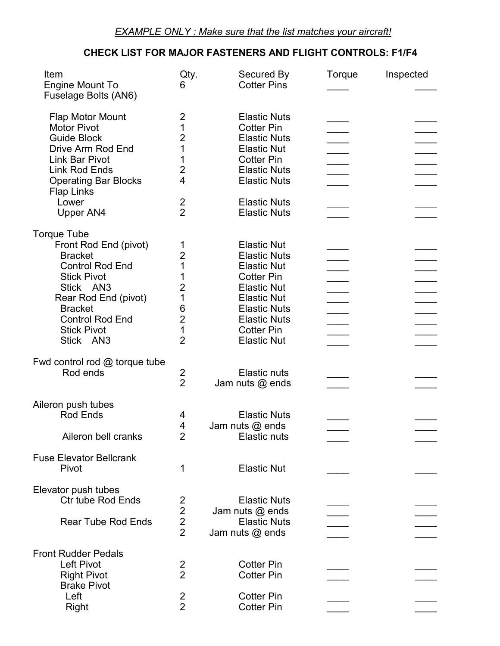## **CHECK LIST FOR MAJOR FASTENERS AND FLIGHT CONTROLS: F1/F4**

| Item<br>Engine Mount To<br>Fuselage Bolts (AN6)                                                                                                                                                                                   | Qty.<br>6                                                                                          | Secured By<br><b>Cotter Pins</b>                                                                                                                                                                                          | Torque | Inspected |
|-----------------------------------------------------------------------------------------------------------------------------------------------------------------------------------------------------------------------------------|----------------------------------------------------------------------------------------------------|---------------------------------------------------------------------------------------------------------------------------------------------------------------------------------------------------------------------------|--------|-----------|
| Flap Motor Mount<br><b>Motor Pivot</b><br><b>Guide Block</b><br>Drive Arm Rod End<br><b>Link Bar Pivot</b><br><b>Link Rod Ends</b><br><b>Operating Bar Blocks</b>                                                                 | 2<br>1<br>$\overline{2}$<br>1<br>1<br>$\overline{2}$<br>4                                          | <b>Elastic Nuts</b><br><b>Cotter Pin</b><br><b>Elastic Nuts</b><br><b>Elastic Nut</b><br><b>Cotter Pin</b><br><b>Elastic Nuts</b><br><b>Elastic Nuts</b>                                                                  |        |           |
| <b>Flap Links</b><br>Lower<br>Upper AN4                                                                                                                                                                                           | $\overline{2}$<br>$\overline{2}$                                                                   | <b>Elastic Nuts</b><br><b>Elastic Nuts</b>                                                                                                                                                                                |        |           |
| <b>Torque Tube</b><br>Front Rod End (pivot)<br><b>Bracket</b><br><b>Control Rod End</b><br><b>Stick Pivot</b><br>Stick AN3<br>Rear Rod End (pivot)<br><b>Bracket</b><br><b>Control Rod End</b><br><b>Stick Pivot</b><br>Stick AN3 | 1<br>$\overline{2}$<br>1<br>1<br>$\overline{2}$<br>1<br>6<br>$\overline{2}$<br>1<br>$\overline{2}$ | <b>Elastic Nut</b><br><b>Elastic Nuts</b><br><b>Elastic Nut</b><br><b>Cotter Pin</b><br><b>Elastic Nut</b><br><b>Elastic Nut</b><br><b>Elastic Nuts</b><br><b>Elastic Nuts</b><br><b>Cotter Pin</b><br><b>Elastic Nut</b> |        |           |
| Fwd control rod $@$ torque tube<br>Rod ends                                                                                                                                                                                       | 2<br>$\overline{2}$                                                                                | <b>Elastic nuts</b><br>Jam nuts @ ends                                                                                                                                                                                    |        |           |
| Aileron push tubes<br><b>Rod Ends</b><br>Aileron bell cranks                                                                                                                                                                      | 4<br>$\overline{4}$<br>$\overline{2}$                                                              | <b>Elastic Nuts</b><br>Jam nuts $@$ ends<br>Elastic nuts                                                                                                                                                                  |        |           |
| <b>Fuse Elevator Bellcrank</b><br>Pivot                                                                                                                                                                                           | 1                                                                                                  | <b>Elastic Nut</b>                                                                                                                                                                                                        |        |           |
| Elevator push tubes<br><b>Ctr tube Rod Ends</b><br><b>Rear Tube Rod Ends</b>                                                                                                                                                      | $\begin{array}{c} 2 \\ 2 \\ 2 \end{array}$                                                         | <b>Elastic Nuts</b><br>Jam nuts @ ends<br><b>Elastic Nuts</b><br>Jam nuts @ ends                                                                                                                                          |        |           |
| <b>Front Rudder Pedals</b><br><b>Left Pivot</b><br><b>Right Pivot</b><br><b>Brake Pivot</b>                                                                                                                                       | $\overline{2}$<br>$\overline{2}$                                                                   | <b>Cotter Pin</b><br><b>Cotter Pin</b>                                                                                                                                                                                    |        |           |
| Left<br>Right                                                                                                                                                                                                                     | 2<br>$\overline{2}$                                                                                | <b>Cotter Pin</b><br><b>Cotter Pin</b>                                                                                                                                                                                    |        |           |